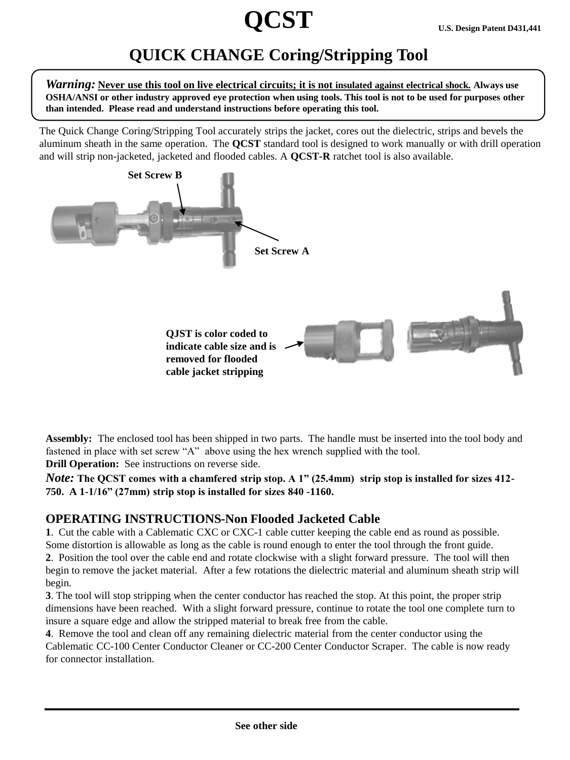# **QCST**

## **QUICK CHANGE Coring/Stripping Tool**

Warning: Never use this tool on live electrical circuits; it is not insulated against electrical shock. Always use OSHA/ANSI or other industry approved eye protection when using tools. This tool is not to be used for purposes other than intended. Please read and understand instructions before operating this tool.

The Quick Change Coring/Stripping Tool accurately strips the jacket, cores out the dielectric, strips and bevels the aluminum sheath in the same operation. The **QCST** standard tool is designed to work manually or with drill operation and will strip non-jacketed, jacketed and flooded cables. A **QCST-R** ratchet tool is also available.



**Assembly:** The enclosed tool has been shipped in two parts. The handle must be inserted into the tool body and fastened in place with set screw "A" above using the hex wrench supplied with the tool. **Drill Operation:** See instructions on reverse side.

*Note:* **The QCST comes with a chamfered strip stop. A 1" (25.4mm) strip stop is installed for sizes 412- 750. A 1-1/16" (27mm) strip stop is installed for sizes 840 -1160.**

### **OPERATING INSTRUCTIONS-Non Flooded Jacketed Cable**

**1**. Cut the cable with a Cablematic CXC or CXC-1 cable cutter keeping the cable end as round as possible. Some distortion is allowable as long as the cable is round enough to enter the tool through the front guide.

**2**. Position the tool over the cable end and rotate clockwise with a slight forward pressure. The tool will then begin to remove the jacket material. After a few rotations the dielectric material and aluminum sheath strip will begin.

**3**. The tool will stop stripping when the center conductor has reached the stop. At this point, the proper strip dimensions have been reached. With a slight forward pressure, continue to rotate the tool one complete turn to insure a square edge and allow the stripped material to break free from the cable.

**4**. Remove the tool and clean off any remaining dielectric material from the center conductor using the Cablematic CC-100 Center Conductor Cleaner or CC-200 Center Conductor Scraper. The cable is now ready for connector installation.